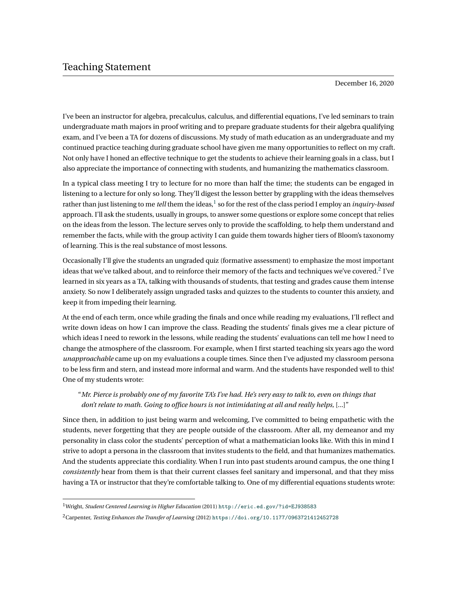December 16, 2020

I've been an instructor for algebra, precalculus, calculus, and differential equations, I've led seminars to train undergraduate math majors in proof writing and to prepare graduate students for their algebra qualifying exam, and I've been a TA for dozens of discussions. My study of math education as an undergraduate and my continued practice teaching during graduate school have given me many opportunities to reflect on my craft. Not only have I honed an effective technique to get the students to achieve their learning goals in a class, but I also appreciate the importance of connecting with students, and humanizing the mathematics classroom.

In a typical class meeting I try to lecture for no more than half the time; the students can be engaged in listening to a lecture for only so long. They'll digest the lesson better by grappling with the ideas themselves rather than just listening to me *tell* them the ideas,<sup>[1](#page-0-0)</sup> so for the rest of the class period I employ an *inquiry-based* approach. I'll ask the students, usually in groups, to answer some questions or explore some concept that relies on the ideas from the lesson. The lecture serves only to provide the scaffolding, to help them understand and remember the facts, while with the group activity I can guide them towards higher tiers of Bloom's taxonomy of learning. This is the real substance of most lessons.

Occasionally I'll give the students an ungraded quiz (formative assessment) to emphasize the most important ideas that we've talked about, and to reinforce their memory of the facts and techniques we've covered. $^2$  $^2$  I've learned in six years as a TA, talking with thousands of students, that testing and grades cause them intense anxiety. So now I deliberately assign ungraded tasks and quizzes to the students to counter this anxiety, and keep it from impeding their learning.

At the end of each term, once while grading the finals and once while reading my evaluations, I'll reflect and write down ideas on how I can improve the class. Reading the students' finals gives me a clear picture of which ideas I need to rework in the lessons, while reading the students' evaluations can tell me how I need to change the atmosphere of the classroom. For example, when I first started teaching six years ago the word *unapproachable* came up on my evaluations a couple times. Since then I've adjusted my classroom persona to be less firm and stern, and instead more informal and warm. And the students have responded well to this! One of my students wrote:

## "*Mr. Pierce is probably one of my favorite TA's I've had. He's very easy to talk to, even on things that don't relate to math. Going to office hours is not intimidating at all and really helps,* [...]"

Since then, in addition to just being warm and welcoming, I've committed to being empathetic with the students, never forgetting that they are people outside of the classroom. After all, my demeanor and my personality in class color the students' perception of what a mathematician looks like. With this in mind I strive to adopt a persona in the classroom that invites students to the field, and that humanizes mathematics. And the students appreciate this cordiality. When I run into past students around campus, the one thing I *consistently* hear from them is that their current classes feel sanitary and impersonal, and that they miss having a TA or instructor that they're comfortable talking to. One of my differential equations students wrote:

<span id="page-0-0"></span><sup>1</sup>Wright, *Student Centered Learning in Higher Education* (2011) <http://eric.ed.gov/?id=EJ938583>

<span id="page-0-1"></span><sup>2</sup>Carpenter, *Testing Enhances the Transfer of Learning* (2012) <https://doi.org/10.1177/0963721412452728>